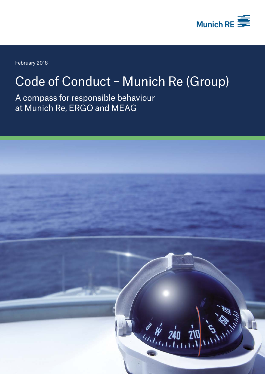

February 2018

## Code of Conduct – Munich Re (Group)

A compass for responsible behaviour at Munich Re, ERGO and MEAG

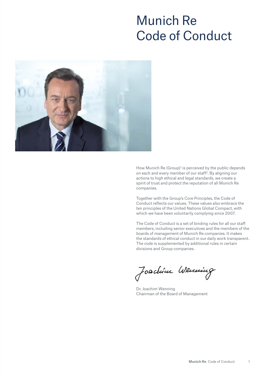## Munich Re Code of Conduct



How Munich Re (Group)<sup>1</sup> is perceived by the public depends on each and every member of our staff2. By aligning our actions to high ethical and legal standards, we create a spirit of trust and protect the reputation of all Munich Re companies.

Together with the Group's Core Principles, the Code of Conduct reflects our values. These values also embrace the ten principles of the United Nations Global Compact, with which we have been voluntarily complying since 2007.

The Code of Conduct is a set of binding rules for all our staff members, including senior executives and the members of the boards of management of Munich Re companies. It makes the standards of ethical conduct in our daily work transparent. The code is supplemented by additional rules in certain divisions and Group companies.

Joachim Weming

Dr. Joachim Wenning Chairman of the Board of Management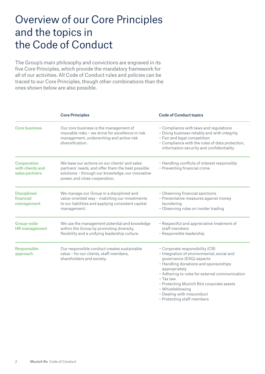## Overview of our Core Principles and the topics in the Code of Conduct

The Group's main philosophy and convictions are engraved in its five Core Principles, which provide the mandatory framework for all of our activities. All Code of Conduct rules and policies can be traced to our Core Principles, though other combinations than the ones shown below are also possible.

|                                                          | <b>Core Principles</b>                                                                                                                                                                   | <b>Code of Conduct topics</b>                                                                                                                                                                                                                                                                                                                                    |
|----------------------------------------------------------|------------------------------------------------------------------------------------------------------------------------------------------------------------------------------------------|------------------------------------------------------------------------------------------------------------------------------------------------------------------------------------------------------------------------------------------------------------------------------------------------------------------------------------------------------------------|
| <b>Core business</b>                                     | Our core business is the management of<br>insurable risks - we strive for excellence in risk<br>management, underwriting and active risk<br>diversification.                             | - Compliance with laws and regulations<br>- Doing business reliably and with integrity<br>- Fair and legal competition<br>- Compliance with the rules of data protection,<br>information security and confidentiality                                                                                                                                            |
| <b>Cooperation</b><br>with clients and<br>sales partners | We base our actions on our clients' and sales<br>partners' needs, and offer them the best possible<br>solutions - through our knowledge, our innovative<br>power, and close cooperation. | - Handling conflicts of interest responsibly<br>- Preventing financial crime                                                                                                                                                                                                                                                                                     |
| <b>Disciplined</b><br>financial<br>management            | We manage our Group in a disciplined and<br>value-oriented way - matching our investments<br>to our liabilities and applying consistent capital<br>management.                           | - Observing financial sanctions<br>- Preventative measures against money<br>laundering<br>- Observing rules on insider trading                                                                                                                                                                                                                                   |
| <b>Group-wide</b><br><b>HR</b> management                | We use the management potential and knowledge<br>within the Group by promoting diversity,<br>flexibility and a unifying leadership culture.                                              | - Respectful and appreciative treatment of<br>staff members<br>- Responsible leadership                                                                                                                                                                                                                                                                          |
| <b>Responsible</b><br>approach                           | Our responsible conduct creates sustainable<br>value - for our clients, staff members,<br>shareholders and society.                                                                      | - Corporate responsibility (CR)<br>- Integration of environmental, social and<br>governance (ESG) aspects<br>- Handling donations and sponsorships<br>appropriately<br>- Adhering to rules for external communication<br>$-$ Tax law<br>- Protecting Munich Re's corporate assets<br>- Whistleblowing<br>- Dealing with misconduct<br>- Protecting staff members |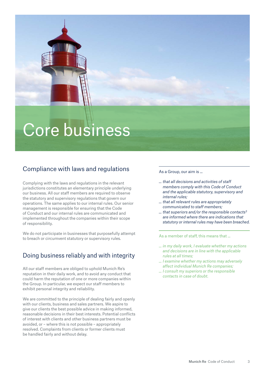

## Compliance with laws and regulations

Complying with the laws and regulations in the relevant jurisdictions constitutes an elementary principle underlying our business. All our staff members are required to observe the statutory and supervisory regulations that govern our operations. The same applies to our internal rules. Our senior management is responsible for ensuring that the Code of Conduct and our internal rules are communicated and implemented throughout the companies within their scope of responsibility.

We do not participate in businesses that purposefully attempt to breach or circumvent statutory or supervisory rules.

### Doing business reliably and with integrity

All our staff members are obliged to uphold Munich Re's reputation in their daily work, and to avoid any conduct that could harm the reputation of one or more companies within the Group. In particular, we expect our staff members to exhibit personal integrity and reliability.

We are committed to the principle of dealing fairly and openly with our clients, business and sales partners. We aspire to give our clients the best possible advice in making informed, reasonable decisions in their best interests. Potential conflicts of interest with clients and other business partners must be avoided, or – where this is not possible – appropriately resolved. Complaints from clients or former clients must be handled fairly and without delay.

#### As a Group, our aim is ...

- *… that all decisions and activities of staff members comply with this Code of Conduct and the applicable statutory, supervisory and internal rules;*
- *… that all relevant rules are appropriately communicated to staff members;*
- *… that superiors and/or the responsible contacts3 are informed where there are indications that statutory or internal rules may have been breached.*

- *… in my daily work, I evaluate whether my actions and decisions are in line with the applicable rules at all times;*
- *… I examine whether my actions may adversely affect individual Munich Re companies;*
- *… I consult my superiors or the responsible contacts in case of doubt.*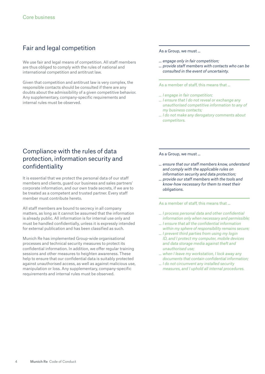## Fair and legal competition

We use fair and legal means of competition. All staff members are thus obliged to comply with the rules of national and international competition and antitrust law.

Given that competition and antitrust law is very complex, the responsible contacts should be consulted if there are any doubts about the admissibility of a given competitive behavior. Any supplementary, company-specific requirements and internal rules must be observed.

#### As a Group, we must ...

- *… engage only in fair competition;*
- *… provide staff members with contacts who can be consulted in the event of uncertainty.*

As a member of staff, this means that ...

- *… I engage in fair competition;*
- *... I ensure that I do not reveal or exchange any unauthorised competitive information to any of my business contacts;*
- *... I do not make any derogatory comments about competitors.*

### Compliance with the rules of data protection, information security and confidentiality

It is essential that we protect the personal data of our staff members and clients, guard our business and sales partners' corporate information, and our own trade secrets, if we are to be treated as a competent and trusted partner. Every staff member must contribute hereto.

All staff members are bound to secrecy in all company matters, as long as it cannot be assumed that the information is already public. All information is for internal use only and must be handled confidentially, unless it is expressly intended for external publication and has been classified as such.

Munich Re has implemented Group-wide organisational processes and technical security measures to protect its confidential information. In addition, we offer regular training sessions and other measures to heighten awareness. These help to ensure that our confidential data is suitably protected against unauthorised access, as well as against malicious use, manipulation or loss. Any supplementary, company-specific requirements and internal rules must be observed.

As a Group, we must ...

- *... ensure that our staff members know, understand and comply with the applicable rules on information security and data protection;*
- *… provide our staff members with the tools and know-how necessary for them to meet their obligations.*

- *… I process personal data and other confidential information only when necessary and permissible;*
- *… I ensure that all the confidential information within my sphere of responsibility remains secure;*
- *… I prevent third parties from using my login ID, and I protect my computer, mobile devices and data storage media against theft and unauthorised use;*
- *… when I leave my workstation, I lock away any documents that contain confidential information;*
- *… I do not circumvent any installed security measures, and I uphold all internal procedures.*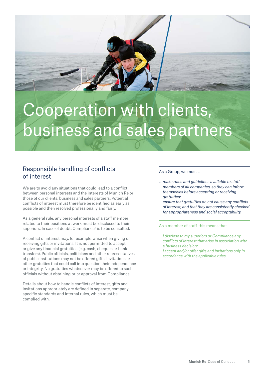

# Cooperation with clients, business and sales partners

#### Responsible handling of conflicts of interest

We are to avoid any situations that could lead to a conflict between personal interests and the interests of Munich Re or those of our clients, business and sales partners. Potential conflicts of interest must therefore be identified as early as possible and then resolved professionally and fairly.

As a general rule, any personal interests of a staff member related to their positions at work must be disclosed to their superiors. In case of doubt, Compliance<sup>4</sup> is to be consulted.

A conflict of interest may, for example, arise when giving or receiving gifts or invitations. It is not permitted to accept or give any financial gratuities (e.g. cash, cheques or bank transfers). Public officials, politicians and other representatives of public institutions may not be offered gifts, invitations or other gratuities that could call into question their independence or integrity. No gratuities whatsoever may be offered to such officials without obtaining prior approval from Compliance.

Details about how to handle conflicts of interest, gifts and invitations appropriately are defined in separate, companyspecific standards and internal rules, which must be complied with.

#### As a Group, we must ...

- *… make rules and guidelines available to staff members of all companies, so they can inform themselves before accepting or receiving gratuities;*
- *… ensure that gratuities do not cause any conflicts of interest, and that they are consistently checked for appropriateness and social acceptability.*

- *… I disclose to my superiors or Compliance any conflicts of interest that arise in association with a business decision;*
- *… I accept and/or offer gifts and invitations only in accordance with the applicable rules.*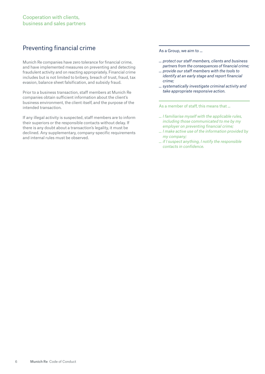## Preventing financial crime

Munich Re companies have zero tolerance for financial crime, and have implemented measures on preventing and detecting fraudulent activity and on reacting appropriately. Financial crime includes but is not limited to bribery, breach of trust, fraud, tax evasion, balance sheet falsification, and subsidy fraud.

Prior to a business transaction, staff members at Munich Re companies obtain sufficient information about the client's business environment, the client itself, and the purpose of the intended transaction.

If any illegal activity is suspected, staff members are to inform their superiors or the responsible contacts without delay. If there is any doubt about a transaction's legality, it must be declined. Any supplementary, company-specific requirements and internal rules must be observed.

As a Group, we aim to ...

- *… protect our staff members, clients and business partners from the consequences of financial crime;*
- *… provide our staff members with the tools to identify at an early stage and report financial crime;*
- *… systematically investigate criminal activity and take appropriate responsive action.*

- *… I familiarise myself with the applicable rules, including those communicated to me by my employer on preventing financial crime;*
- *… I make active use of the information provided by my company;*
- *… if I suspect anything, I notify the responsible contacts in confidence.*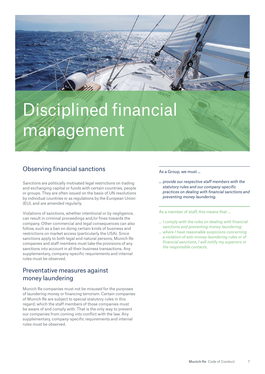# Disciplined financial management

## Observing financial sanctions

Sanctions are politically motivated legal restrictions on trading and exchanging capital or funds with certain countries, people or groups. They are often issued on the basis of UN resolutions by individual countries or as regulations by the European Union (EU), and are amended regularly.

Violations of sanctions, whether intentional or by negligence, can result in criminal proceedings and/or fines towards the company. Other commercial and legal consequences can also follow, such as a ban on doing certain kinds of business and restrictions on market access (particularly the USA). Since sanctions apply to both legal and natural persons, Munich Re companies and staff members must take the provisions of any sanctions into account in all their business transactions. Any supplementary, company-specific requirements and internal rules must be observed.

### Preventative measures against money laundering

Munich Re companies must not be misused for the purposes of laundering money or financing terrorism. Certain companies of Munich Re are subject to special statutory rules in this regard, which the staff members of those companies must be aware of and comply with. That is the only way to prevent our companies from coming into conflict with the law. Any supplementary, company-specific requirements and internal rules must be observed.

#### As a Group, we must ...

*… provide our respective staff members with the statutory rules and our company-specific practices on dealing with financial sanctions and preventing money laundering.*

- *… I comply with the rules on dealing with financial sanctions and preventing money laundering;*
- *… where I have reasonable suspicions concerning a violation of anti-money-laundering rules or of financial sanctions, I will notify my superiors or the responsible contacts.*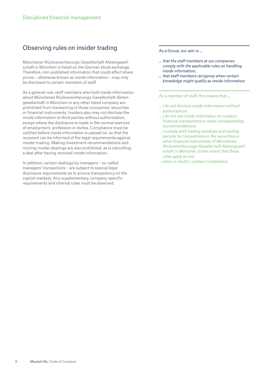#### Observing rules on insider trading

Münchener Rückversicherungs-Gesellschaft Aktiengesellschaft in München is listed on the German stock exchange. Therefore, non-published information that could affect share prices – otherwise known as inside information – may only be disclosed to certain members of staff.

As a general rule, staff members who hold inside information about Münchener Rückversicherungs-Gesellschaft Aktiengesellschaft in München or any other listed company are prohibited from transacting in those companies' securities or financial instruments. Insiders also may not disclose the inside information to third parties without authorisation, except where the disclosure is made in the normal exercise of employment, profession or duties. Compliance must be notified before inside information is passed on, so that the recipient can be informed of the legal requirements against insider trading. Making investment recommendations and inciting insider dealings are also prohibited, as is cancelling a deal after having received inside information.

In addition, certain dealings by managers – so-called managers' transactions – are subject to special legal disclosure requirements as to ensure transparency on the capital markets. Any supplementary, company-specific requirements and internal rules must be observed.

As a Group, our aim is ...

- *… that the staff members at our companies comply with the applicable rules on handling inside information;*
- *… that staff members recognise when certain knowledge might qualify as inside information.*

- *… I do not disclose inside information without authorisation;*
- *… I do not use inside information to conduct financial transactions or make corresponding recommendations;*
- *… I comply with trading windows and vesting periods for transactions in the securities or other financial instruments of Münchener Rückversicherungs-Gesellschaft Aktiengesellschaft in München, to the extent that these rules apply to me;*
- *... when in doubt, I contact Compliance.*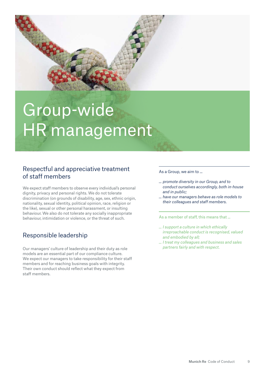

# Group-wide HR management

#### Respectful and appreciative treatment of staff members

We expect staff members to observe every individual's personal dignity, privacy and personal rights. We do not tolerate discrimination (on grounds of disability, age, sex, ethnic origin, nationality, sexual identity, political opinion, race, religion or the like), sexual or other personal harassment, or insulting behaviour. We also do not tolerate any socially inappropriate behaviour, intimidation or violence, or the threat of such.

## Responsible leadership

Our managers' culture of leadership and their duty as role models are an essential part of our compliance culture. We expect our managers to take responsibility for their staff members and for reaching business goals with integrity. Their own conduct should reflect what they expect from staff members.

#### As a Group, we aim to ...

- *... promote diversity in our Group, and to conduct ourselves accordingly, both in-house and in public;*
- *... have our managers behave as role models to their colleagues and staff members.*

- *… I support a culture in which ethically irreproachable conduct is recognised, valued and embodied by all;*
- *… I treat my colleagues and business and sales partners fairly and with respect.*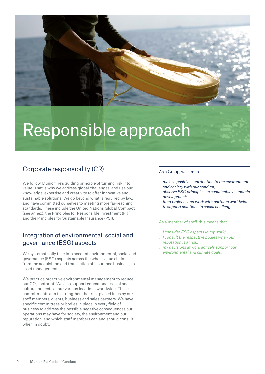

## Responsible approach

## Corporate responsibility (CR)

We follow Munich Re's guiding principle of turning risk into value. That is why we address global challenges, and use our knowledge, expertise and creativity to offer innovative and sustainable solutions. We go beyond what is required by law, and have committed ourselves to meeting more far-reaching standards. These include the United Nations Global Compact (see annex), the Principles for Responsible Investment (PRI), and the Principles for Sustainable Insurance (PSI).

#### Integration of environmental, social and governance (ESG) aspects

We systematically take into account environmental, social and governance (ESG) aspects across the whole value chain – from the acquisition and transaction of insurance business, to asset management.

We practice proactive environmental management to reduce our CO2 footprint. We also support educational, social and cultural projects at our various locations worldwide. These commitments aim to strengthen the trust placed in us by our staff members, clients, business and sales partners. We have specific committees or bodies in place in every field of business to address the possible negative consequences our operations may have for society, the environment and our reputation, and which staff members can and should consult when in doubt.

As a Group, we aim to ...

- *… make a positive contribution to the environment and society with our conduct;*
- *… observe ESG principles on sustainable economic development;*
- *… fund projects and work with partners worldwide to support solutions to social challenges.*

- *… I consider ESG aspects in my work;*
- *… I consult the respective bodies when our reputation is at risk;*
- *… my decisions at work actively support our environmental and climate goals.*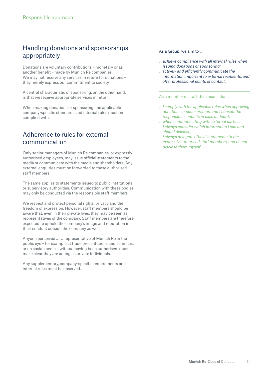### Handling donations and sponsorships appropriately

Donations are voluntary contributions – monetary or as another benefit – made by Munich Re companies. We may not receive any services in return for donations – they merely express our commitment to society.

A central characteristic of sponsoring, on the other hand, is that we receive appropriate services in return.

When making donations or sponsoring, the applicable company-specific standards and internal rules must be complied with.

#### Adherence to rules for external communication

Only senior managers of Munich Re companies, or expressly authorised employees, may issue official statements to the media or communicate with the media and shareholders. Any external enquiries must be forwarded to these authorised staff members.

The same applies to statements issued to public institutions or supervisory authorities. Communication with these bodies may only be conducted via the responsible staff members.

We respect and protect personal rights, privacy and the freedom of expression. However, staff members should be aware that, even in their private lives, they may be seen as representatives of the company. Staff members are therefore expected to uphold the company's image and reputation in their conduct outside the company as well.

Anyone perceived as a representative of Munich Re in the public eye – for example at trade presentations and seminars, or on social media – without having been authorised, must make clear they are acting as private individuals.

Any supplementary, company-specific requirements and internal rules must be observed.

As a Group, we aim to ...

- *... achieve compliance with all internal rules when issuing donations or sponsoring;*
- *… actively and efficiently communicate the information important to external recipients, and offer professional points of contact.*

- *… I comply with the applicable rules when approving donations or sponsorships, and I consult the responsible contacts in case of doubt;*
- *… when communicating with external parties, I always consider which information I can and should disclose;*
- *… I always delegate official statements to the expressly authorised staff members, and do not disclose them myself.*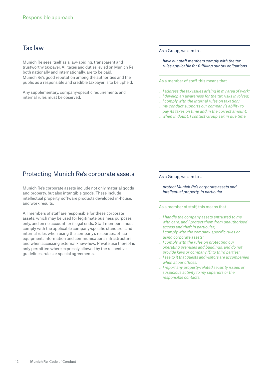#### Tax law

Munich Re sees itself as a law-abiding, transparent and trustworthy taxpayer. All taxes and duties levied on Munich Re, both nationally and internationally, are to be paid. Munich Re's good reputation among the authorities and the public as a responsible and credible taxpayer is to be upheld.

Any supplementary, company-specific requirements and internal rules must be observed.

As a Group, we aim to ...

*... have our staff members comply with the tax rules applicable for fulfilling our tax obligations.* 

#### As a member of staff, this means that ...

- *… I address the tax issues arising in my area of work;*
- *… I develop an awareness for the tax risks involved;*
- *… I comply with the internal rules on taxation;*
- *… my conduct supports our company's ability to pay its taxes on time and in the correct amount;*
- *… when in doubt, I contact Group Tax in due time.*

#### Protecting Munich Re's corporate assets

Munich Re's corporate assets include not only material goods and property, but also intangible goods. These include intellectual property, software products developed in-house, and work results.

All members of staff are responsible for these corporate assets, which may be used for legitimate business purposes only, and on no account for illegal ends. Staff members must comply with the applicable company-specific standards and internal rules when using the company's resources, office equipment, information and communications infrastructure, and when accessing external know-how. Private use thereof is only permitted where expressly allowed by the respective guidelines, rules or special agreements.

As a Group, we aim to ...

*... protect Munich Re's corporate assets and intellectual property, in particular.*

- *… I handle the company assets entrusted to me with care, and I protect them from unauthorised access and theft in particular;*
- *… I comply with the company-specific rules on using corporate assets;*
- *… I comply with the rules on protecting our operating premises and buildings, and do not provide keys or company ID to third parties;*
- *… I see to it that guests and visitors are accompanied when at our offices;*
- *… I report any property-related security issues or suspicious activity to my superiors or the responsible contacts.*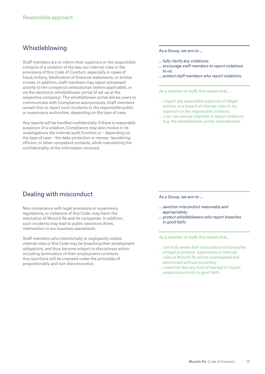#### Whistleblowing

Staff members are to inform their superiors or the responsible contacts of a violation of the law, our internal rules or the provisions of this Code of Conduct, especially in cases of fraud, bribery, falsification of financial statements, or similar crimes. In addition, staff members may report witnessed activity to the company's ombudsman (where applicable), or via the electronic whistleblower portal (if set up at the respective company). The whistleblower portal allows users to communicate with Compliance anonymously. Staff members remain free to report such incidents to the responsible public or supervisory authorities, depending on the type of case.

Any reports will be handled confidentially. If there is reasonable suspicion of a violation, Compliance may also involve in its investigations the internal audit function or – depending on the type of case – the data-protection or money- laundering officers, or other competent contacts, while maintaining the confidentiality of the information received.

#### Dealing with misconduct

Non-compliance with legal provisions or supervisory regulations, or violations of this Code, may harm the reputation of Munich Re and its companies. In addition, such incidents may lead to public sanctions (fines, intervention in our business operations).

Staff members who intentionally or negligently violate internal rules or this Code may be breaching their employment obligations, and thus become subject to disciplinary action including termination of their employment contracts. Any sanctions will be imposed under the principles of proportionality and non-discrimination.

As a Group, we aim to ...

- *… fully clarify any violations;*
- *… encourage staff members to report violations to us;*
- *… protect staff members who report violations.*

As a member of staff, this means that ...

- *… I report any reasonable suspicion of illegal activity, or a breach of internal rules to my superiors or the responsible contacts;*
- *… I can use various channels to report violations (e.g. the whistleblower portal, ombudsman).*

As a Group, we aim to …

- *… sanction misconduct reasonably and appropriately;*
- *… protect whistleblowers who report breaches in good faith;*

- *… I am fully aware that misconduct and breaches of legal provisions, supervisory or internal rules at Munich Re will be investigated and sanctioned without exception;*
- *… I need not fear any kind of reprisal if I report suspicious activity in good faith.*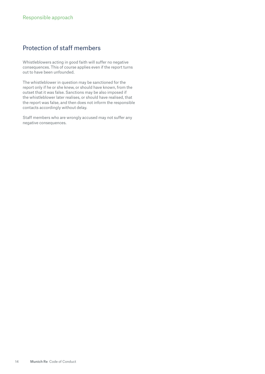### Protection of staff members

Whistleblowers acting in good faith will suffer no negative consequences. This of course applies even if the report turns out to have been unfounded.

The whistleblower in question may be sanctioned for the report only if he or she knew, or should have known, from the outset that it was false. Sanctions may be also imposed if the whistleblower later realises, or should have realised, that the report was false, and then does not inform the responsible contacts accordingly without delay.

Staff members who are wrongly accused may not suffer any negative consequences.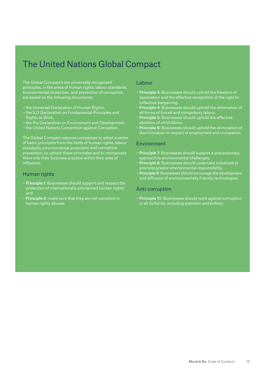## The United Nations Global Compact

The Global Compact's ten universally recognised principles, in the areas of human rights, labour standards, environmental protection, and prevention of corruption, are based on the following documents:

- − the Universal Declaration of Human Rights,
- − the ILO Declaration on Fundamental Principles and Rights at Work,
- − the Rio Declaration on Environment and Development,
- − the United Nations Convention against Corruption.

The Global Compact requires companies to adopt a series of basic principles from the fields of human rights, labour standards, environmental protection and corruption prevention, to uphold these principles and to incorporate them into their business practice within their area of influence:

#### Human rights

- − Principle 1: Businesses should support and respect the protection of internationally proclaimed human rights; and
- − Principle 2: make sure that they are not complicit in human rights abuses.

#### Labour

- − Principle 3: Businesses should uphold the freedom of association and the effective recognition of the right to collective bargaining.
- − Principle 4: Businesses should uphold the elimination of all forms of forced and compulsory labour.
- − Principle 5: Businesses should uphold the effective abolition of child labour.
- − Principle 6: Businesses should uphold the elimination of discrimination in respect of employment and occupation.

#### Environment

- − Principle 7: Businesses should support a precautionary approach to environmental challenges.
- − Principle 8: Businesses should undertake initiatives to promote greater environmental responsibility.
- − Principle 9: Businesses should encourage the development and diffusion of environmentally friendly technologies.

#### Anti-corruption

− Principle 10: Businesses should work against corruption in all its forms, including extortion and bribery.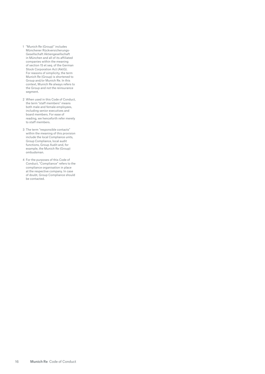- 1 "Munich Re (Group)" includes Münchener Rückversicherungs-Gesellschaft Aktiengesellschaft in München and all of its affiliated companies within the meaning of section 15 et seq. of the German Stock Corporation Act (AktG). For reasons of simplicity, the term Munich Re (Group) is shortened to Group and/or Munich Re. In this context, Munich Re always refers to the Group and not the reinsurance segment.
- 2 When used in this Code of Conduct, the term "staff members" means both male and female employees, including senior executives and board members. For ease of reading, we henceforth refer merely to staff members.
- 3 The term "responsible contacts" within the meaning of this provision include the local Compliance units, Group Compliance, local audit functions, Group Audit and, for example, the Munich Re (Group) ombudsman.
- 4 For the purposes of this Code of Conduct, "Compliance" refers to the compliance organisation in place at the respective company. In case of doubt, Group Compliance should be contacted.